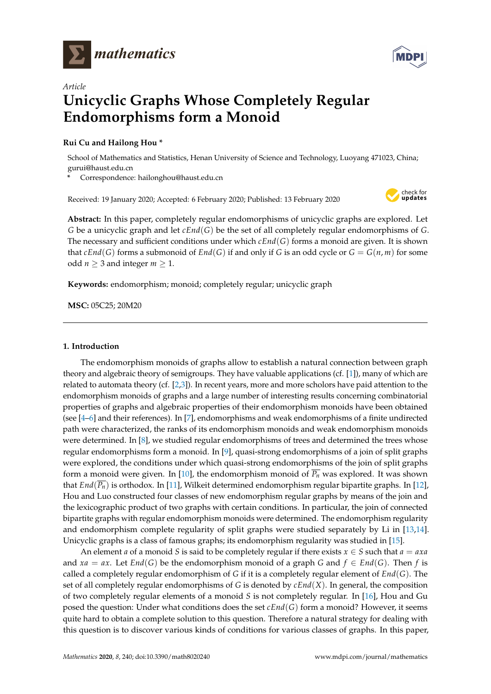



# *Article* **Unicyclic Graphs Whose Completely Regular Endomorphisms form a Monoid**

## **Rui Cu and Hailong Hou \***

School of Mathematics and Statistics, Henan University of Science and Technology, Luoyang 471023, China; gurui@haust.edu.cn

**\*** Correspondence: hailonghou@haust.edu.cn

Received: 19 January 2020; Accepted: 6 February 2020; Published: 13 February 2020



**Abstract:** In this paper, completely regular endomorphisms of unicyclic graphs are explored. Let *G* be a unicyclic graph and let *cEnd*(*G*) be the set of all completely regular endomorphisms of *G*. The necessary and sufficient conditions under which *cEnd*(*G*) forms a monoid are given. It is shown that  $cEnd(G)$  forms a submonoid of  $End(G)$  if and only if *G* is an odd cycle or  $G = G(n,m)$  for some odd *n*  $\geq$  3 and integer *m*  $\geq$  1.

**Keywords:** endomorphism; monoid; completely regular; unicyclic graph

**MSC:** 05C25; 20M20

### **1. Introduction**

The endomorphism monoids of graphs allow to establish a natural connection between graph theory and algebraic theory of semigroups. They have valuable applications (cf. [\[1\]](#page-7-0)), many of which are related to automata theory (cf. [\[2,](#page-7-1)[3\]](#page-7-2)). In recent years, more and more scholors have paid attention to the endomorphism monoids of graphs and a large number of interesting results concerning combinatorial properties of graphs and algebraic properties of their endomorphism monoids have been obtained (see [\[4](#page-7-3)[–6\]](#page-7-4) and their references). In [\[7\]](#page-7-5), endomorphisms and weak endomorphisms of a finite undirected path were characterized, the ranks of its endomorphism monoids and weak endomorphism monoids were determined. In [\[8\]](#page-7-6), we studied regular endomorphisms of trees and determined the trees whose regular endomorphisms form a monoid. In [\[9\]](#page-7-7), quasi-strong endomorphisms of a join of split graphs were explored, the conditions under which quasi-strong endomorphisms of the join of split graphs form a monoid were given. In [\[10\]](#page-7-8), the endomorphism monoid of  $\overline{P_n}$  was explored. It was shown that *End*(*Pn*) is orthodox. In [\[11\]](#page-7-9), Wilkeit determined endomorphism regular bipartite graphs. In [\[12\]](#page-7-10), Hou and Luo constructed four classes of new endomorphism regular graphs by means of the join and the lexicographic product of two graphs with certain conditions. In particular, the join of connected bipartite graphs with regular endomorphism monoids were determined. The endomorphism regularity and endomorphism complete regularity of split graphs were studied separately by Li in [\[13,](#page-7-11)[14\]](#page-7-12). Unicyclic graphs is a class of famous graphs; its endomorphism regularity was studied in [\[15\]](#page-7-13).

An element *a* of a monoid *S* is said to be completely regular if there exists  $x \in S$  such that  $a = axa$ and  $xa = ax$ . Let  $End(G)$  be the endomorphism monoid of a graph *G* and  $f \in End(G)$ . Then *f* is called a completely regular endomorphism of *G* if it is a completely regular element of *End*(*G*). The set of all completely regular endomorphisms of *G* is denoted by *cEnd*(*X*). In general, the composition of two completely regular elements of a monoid *S* is not completely regular. In [\[16\]](#page-7-14), Hou and Gu posed the question: Under what conditions does the set *cEnd*(*G*) form a monoid? However, it seems quite hard to obtain a complete solution to this question. Therefore a natural strategy for dealing with this question is to discover various kinds of conditions for various classes of graphs. In this paper,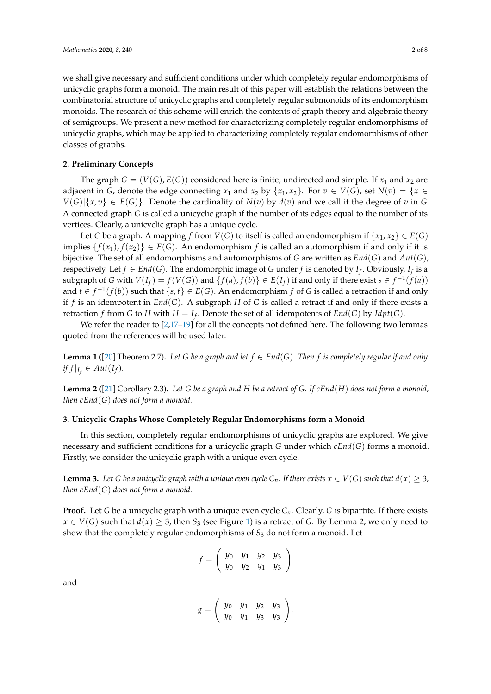we shall give necessary and sufficient conditions under which completely regular endomorphisms of unicyclic graphs form a monoid. The main result of this paper will establish the relations between the combinatorial structure of unicyclic graphs and completely regular submonoids of its endomorphism monoids. The research of this scheme will enrich the contents of graph theory and algebraic theory of semigroups. We present a new method for characterizing completely regular endomorphisms of unicyclic graphs, which may be applied to characterizing completely regular endomorphisms of other classes of graphs.

#### **2. Preliminary Concepts**

The graph  $G = (V(G), E(G))$  considered here is finite, undirected and simple. If  $x_1$  and  $x_2$  are adjacent in *G*, denote the edge connecting  $x_1$  and  $x_2$  by  $\{x_1, x_2\}$ . For  $v \in V(G)$ , set  $N(v) = \{x \in V(G)\}$  $V(G)|\{x,v\} \in E(G)\}$ . Denote the cardinality of  $N(v)$  by  $d(v)$  and we call it the degree of *v* in *G*. A connected graph *G* is called a unicyclic graph if the number of its edges equal to the number of its vertices. Clearly, a unicyclic graph has a unique cycle.

Let *G* be a graph. A mapping *f* from *V*(*G*) to itself is called an endomorphism if  $\{x_1, x_2\} \in E(G)$ implies  $\{f(x_1), f(x_2)\}\in E(G)$ . An endomorphism *f* is called an automorphism if and only if it is bijective. The set of all endomorphisms and automorphisms of *G* are written as *End*(*G*) and *Aut*(*G*), respectively. Let  $f \in End(G)$ . The endomorphic image of *G* under *f* is denoted by *I<sub>f</sub>*. Obviously, *I<sub>f</sub>* is a subgraph of G with  $V(I_f) = f(V(G))$  and  $\{f(a), f(b)\} \in E(I_f)$  if and only if there exist  $s \in f^{-1}(f(a))$ and  $t \in f^{-1}(f(b))$  such that  $\{s, t\} \in E(G)$ . An endomorphism  $f$  of  $G$  is called a retraction if and only if *f* is an idempotent in *End*(*G*). A subgraph *H* of *G* is called a retract if and only if there exists a retraction *f* from *G* to *H* with  $H = I_f$ . Denote the set of all idempotents of  $End(G)$  by  $Idpt(G)$ .

We refer the reader to  $[2,17-19]$  $[2,17-19]$  $[2,17-19]$  for all the concepts not defined here. The following two lemmas quoted from the references will be used later.

**Lemma 1** ([\[20\]](#page-7-17) Theorem 2.7)**.** *Let G be a graph and let f* ∈ *End*(*G*)*. Then f is completely regular if and only*  $if f|_{I_f} \in Aut(I_f)$ .

**Lemma 2** ([\[21\]](#page-7-18) Corollary 2.3)**.** *Let G be a graph and H be a retract of G. If cEnd*(*H*) *does not form a monoid, then cEnd*(*G*) *does not form a monoid.*

#### **3. Unicyclic Graphs Whose Completely Regular Endomorphisms form a Monoid**

In this section, completely regular endomorphisms of unicyclic graphs are explored. We give necessary and sufficient conditions for a unicyclic graph *G* under which *cEnd*(*G*) forms a monoid. Firstly, we consider the unicyclic graph with a unique even cycle.

**Lemma 3.** Let G be a unicyclic graph with a unique even cycle  $C_n$ . If there exists  $x \in V(G)$  such that  $d(x) \geq 3$ , *then cEnd*(*G*) *does not form a monoid.*

**Proof.** Let *G* be a unicyclic graph with a unique even cycle  $C_n$ . Clearly, *G* is bipartite. If there exists  $x \in V(G)$  such that  $d(x) \geq 3$ , then  $S_3$  (see Figure [1\)](#page-2-0) is a retract of *G*. By Lemma 2, we only need to show that the completely regular endomorphisms of *S*<sup>3</sup> do not form a monoid. Let

$$
f = \left(\begin{array}{cccc} y_0 & y_1 & y_2 & y_3 \\ y_0 & y_2 & y_1 & y_3 \end{array}\right)
$$

and

$$
g = \left(\begin{array}{cccc} y_0 & y_1 & y_2 & y_3 \\ y_0 & y_1 & y_3 & y_3 \end{array}\right).
$$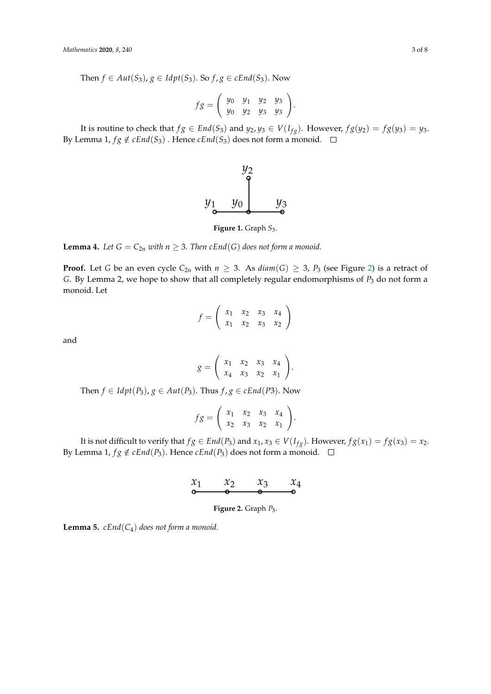Then  $f \in Aut(S_3)$ ,  $g \in Idpt(S_3)$ . So  $f, g \in cEnd(S_3)$ . Now

$$
fg = \left(\begin{array}{cccc} y_0 & y_1 & y_2 & y_3 \\ y_0 & y_2 & y_3 & y_3 \end{array}\right).
$$

<span id="page-2-0"></span>It is routine to check that  $fg \in End(S_3)$  and  $y_2, y_3 \in V(I_{fg})$ . However,  $fg(y_2) = fg(y_3) = y_3$ . By Lemma 1,  $fg \notin cEnd(S_3)$ . Hence  $cEnd(S_3)$  does not form a monoid.  $\square$ 



**Figure 1.** Graph *S*3.

**Lemma 4.** Let  $G = C_{2n}$  with  $n \geq 3$ . Then  $cEnd(G)$  does not form a monoid.

**Proof.** Let G be an even cycle  $C_{2n}$  with  $n \ge 3$ . As  $diam(G) \ge 3$ ,  $P_3$  (see Figure [2\)](#page-2-1) is a retract of G. By Lemma 2, we hope to show that all completely regular endomorphisms of  $P_3$  do not form a<br>monoid. Let By Lemma 2, we hope to show that all completely regular endomorphisms of *P*<sup>3</sup> do not form a monoid. monoid. Let

$$
f = \left(\begin{array}{cccc} x_1 & x_2 & x_3 & x_4 \\ x_1 & x_2 & x_3 & x_2 \end{array}\right)
$$

and

$$
g = \left(\begin{array}{cccc} x_1 & x_2 & x_3 & x_4 \\ x_4 & x_3 & x_2 & x_1 \end{array}\right).
$$

Then  $f \in Idpt(P_3)$ ,  $g \in Aut(P_3)$ . Thus  $f, g \in cEnd(P_3)$ . Now

$$
fg = \left(\begin{array}{cccc} x_1 & x_2 & x_3 & x_4 \\ x_2 & x_3 & x_2 & x_1 \end{array}\right).
$$

<span id="page-2-1"></span>It is not difficult to verify that  $fg \in End(P_3)$  and  $x_1, x_3 \in V(I_{fg})$ . However,  $fg(x_1) = fg(x_3) = x_2$ . By Lemma 1,  $fg \notin \mathit{cEnd}(P_3)$ . Hence  $\mathit{cEnd}(P_3)$  does not form a monoid.  $\frac{1}{2}$ 

$$
\begin{array}{ccc}\nx_1 & x_2 & x_3 & x_4 \\
\bullet & \bullet & \bullet & \bullet\n\end{array}
$$

**Figure 2.** Graph *P*3.

**Lemma 5.**  $cEnd(C_4)$  *does not form a monoid.* Figure 1 Graph *S*<sup>3</sup> Figure 2 Graph *P*<sup>3</sup>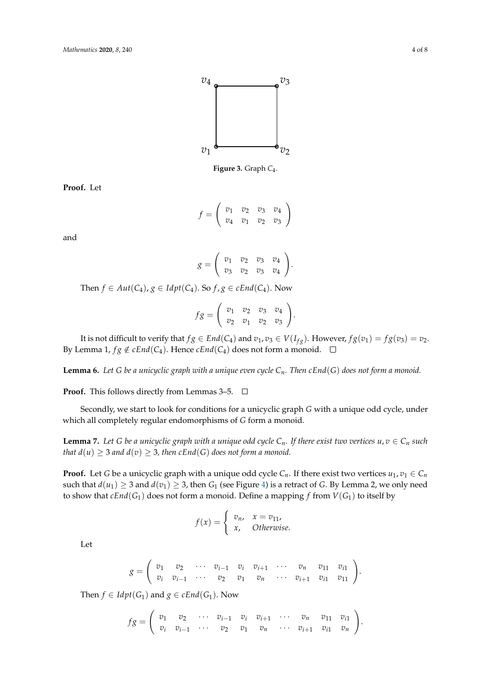

**Figure 3.** Graph *C*<sup>4</sup> .

**Proof** Let **Proof.** Let

$$
f = \left(\begin{array}{cccc} v_1 & v_2 & v_3 & v_4 \\ v_4 & v_1 & v_2 & v_3 \end{array}\right)
$$

and

$$
g = \left(\begin{array}{cccc} v_1 & v_2 & v_3 & v_4 \\ v_3 & v_2 & v_3 & v_4 \end{array}\right).
$$

 $\epsilon$ <sup>4</sup>/ $\cdot$ *Then f* ∈ *Aut*(*C*<sub>4</sub>), *g* ∈ *Idpt*(*C*<sub>4</sub>). So *f*, *g* ∈ *cEnd*(*C*<sub>4</sub>). Now

$$
fg = \left(\begin{array}{cccc} v_1 & v_2 & v_3 & v_4 \\ v_2 & v_1 & v_2 & v_3 \end{array}\right).
$$

It is not difficult to verify that  $fg \in End(C_4)$  and  $v_1, v_3 \in V(I_{fg})$ . However,  $fg(v_1) = fg(v_3) = v_2$ . By Lemma 1,  $fg \notin cEnd(C_4)$ . Hence  $cEnd(C_4)$  does not form a monoid.  $\square$ 

**Lemma 6.** *Let G be a unicyclic graph with a unique even cycle Cn. Then cEnd*(*G*) *does not form a monoid.*

**Proof.** This follows directly from Lemmas 3–5. □

Secondly, we start to look for conditions for a unicyclic graph *G* with a unique odd cycle, under which all completely regular endomorphisms of *G* form a monoid.

**Lemma 7.** Let G be a unicyclic graph with a unique odd cycle  $C_n$ . If there exist two vertices  $u, v \in C_n$  such *that*  $d(u) \geq 3$  *and*  $d(v) \geq 3$ *, then cEnd*(*G*) *does not form a monoid.* 

**Proof.** Let *G* be a unicyclic graph with a unique odd cycle  $C_n$ . If there exist two vertices  $u_1, v_1 \in C_n$ such that  $d(u_1) \geq 3$  and  $d(v_1) \geq 3$ , then  $G_1$  (see Figure [4\)](#page-4-0) is a retract of *G*. By Lemma 2, we only need to show that  $cEnd(G_1)$  does not form a monoid. Define a mapping  $f$  from  $V(G_1)$  to itself by

$$
f(x) = \begin{cases} v_n, & x = v_{11}, \\ x, & Otherwise. \end{cases}
$$

Let

$$
g = \left(\begin{array}{ccccccccc} v_1 & v_2 & \cdots & v_{i-1} & v_i & v_{i+1} & \cdots & v_n & v_{11} & v_{i1} \\ v_i & v_{i-1} & \cdots & v_2 & v_1 & v_n & \cdots & v_{i+1} & v_{i1} & v_{11} \end{array}\right).
$$

Then  $f \in \text{Idpt}(G_1)$  and  $g \in \text{cEnd}(G_1)$ . Now

$$
fg = \left(\begin{array}{ccccccccc} v_1 & v_2 & \cdots & v_{i-1} & v_i & v_{i+1} & \cdots & v_n & v_{11} & v_{i1} \\ v_i & v_{i-1} & \cdots & v_2 & v_1 & v_n & \cdots & v_{i+1} & v_{i1} & v_n \end{array}\right).
$$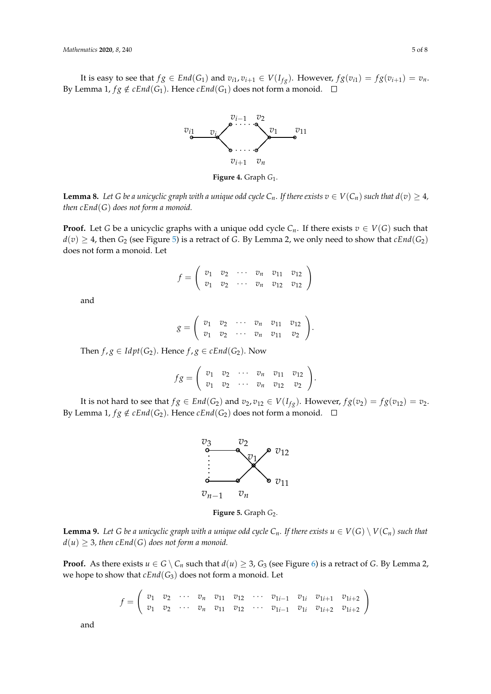<span id="page-4-0"></span>It is easy to see that  $fg \in End(G_1)$  and  $v_{i1}, v_{i+1} \in V(I_{fg})$ . However,  $fg(v_{i1}) = fg(v_{i+1}) = v_n$ . By Lemma 1,  $fg \notin \text{CEnd}(G_1)$ . Hence  $\text{CEnd}(G_1)$  does not form a monoid.  $\Box$  $\mathcal{L}$  Let  $f: \subset \mathcal{L} \cup \{C\}$  and  $\mathcal{L} = \subset \mathcal{U}(I)$  **LE** unique or  $f_2(x)$  to  $f_3(x)$  to vertice



Figure 4 Graph *G*<sup>1</sup> **Figure 4.** Graph *G*<sup>1</sup> . *Mathematics* **2020**, 5 *Mathematics* **2020**, 5 *Mathematics* **<b>2020**, 5 *Mathematics* **2020**, 5 *Mathematics* **<b>2020**, 5 *Mathematics* **2020**, 5 *Mathematics* **2020**, 5 *Mathematics* **2020**, 5 *Mathematics* **<b>** 

**Lemma 8.** Let G be a unicyclic graph with a unique odd cycle  $C_n$ . If there exists  $v \in V(C_n)$  such that  $d(v) \geq 4$ , *then cEnd*(G) does not form a monoid.

only need to show that *cEnd*(*G*<sup>1</sup> ) does not form a monoid. Define a mapping *f* from *V*(*G*<sup>1</sup>  $f(x) \geq 4$ , then *G*<sub>2</sub> (see Figure [5\)](#page-4-1) is a retract of *G*. By Lemma 2, we only need to show that *cEnd*(*G*<sub>2</sub>) does not form a monoid. Let **Proof.** Let *G* be a unicyclic graphs with a unique odd cycle  $C_n$ . If there exists  $v \in V(G)$  such that  $\frac{f(x)}{g(x)} = \frac{f(x)}{g(x)}$  *v*  $\frac{f(x)}{g(x)} = \frac{f(x)}{g(x)}$  *v*  $\frac{f(x)}{g(x)} = \frac{f(x)}{g(x)}$ ), *g* ∈ *Idpt*(*C*<sup>4</sup> ). So *f* , *g* ∈ *cEnd*(*C*<sup>4</sup>

$$
f = \left(\begin{array}{cccc} v_1 & v_2 & \cdots & v_n & v_{11} & v_{12} \\ v_1 & v_2 & \cdots & v_n & v_{12} & v_{12} \end{array}\right)
$$

 $and$ 

$$
g=\left(\begin{array}{cccc} v_1 & v_2 & \cdots & v_n & v_{11} & v_{12} \\ v_1 & v_2 & \cdots & v_n & v_{11} & v_2 \end{array}\right).
$$

*f g* = *f*<sub>1</sub>*g*  $\in$  *Idpt*(*G*<sub>2</sub>). Hence *f*, *g*  $\in$  *cEnd*(*G*<sub>2</sub>). Now **Proof** This follows directly from Lemmas 3-5.  $S \subseteq \text{supp}(\sigma_2)$ . Hence  $f/\delta \subseteq \text{min}(\sigma_2)$ . Now

Then *f* ∈ *Idpt*(*G*<sup>1</sup>

$$
fg=\left(\begin{array}{cccc}v_1&v_2&\cdots&v_n&v_{11}&v_{12}\\v_1&v_2&\cdots&v_n&v_{12}&v_2\end{array}\right).
$$

.

It is not hard to see that  $fg \in End(G_2)$  and  $v_2, v_{12} \in V(I_{fg})$ . However,  $fg(v_2) = fg(v_{12}) = v_2$ . By Lemma 1,  $fg \notin cEnd(G_2)$ . Hence  $cEnd(G_2)$  does not form a monoid.  $\square$ 

<span id="page-4-1"></span>

Figure 5 Graph *G*<sup>2</sup> **Figure 5.** Graph *G*2.

**Lemma 9.** Let G be a unicyclic graph with a unique odd cycle  $C_n$ . If there exists  $u \in V(G) \setminus V(C_n)$  such that  $d(u) \geq 3$ , then  $cEnd(G)$  does not form a monoid.  $\iota$   $\iota$ <sub>LHu</sub>(G) wes not form a monom.

only need to show that *cEnd*(*G*<sup>1</sup> **Proof.** As there exists  $u \in G \setminus C_n$  $u \in G \setminus C_n$  $u \in G \setminus C_n$  such that  $d(u) \geq 3$ ,  $G_3$  (see Figure 6) is a retract of G. By Lemma 2, we hope to show that  $cEnd(G_3)$  does not form a monoid. Let

$$
f = \begin{pmatrix} v_1 & v_2 & \cdots & v_n & v_{11} & v_{12} & \cdots & v_{1i-1} & v_{1i} & v_{1i+1} & v_{1i+2} \\ v_1 & v_2 & \cdots & v_n & v_{11} & v_{12} & \cdots & v_{1i-1} & v_{1i} & v_{1i+2} & v_{1i+2} \end{pmatrix}
$$

and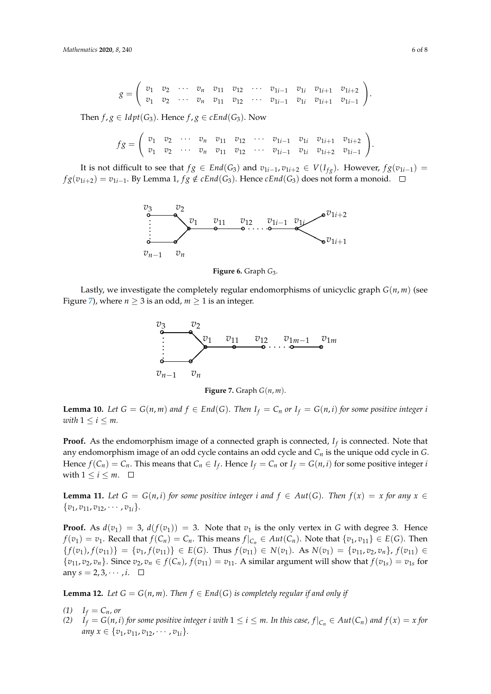$$
g=\left(\begin{array}{ccccccccc}v_1&v_2&\cdots&v_n&v_{11}&v_{12}&\cdots&v_{1i-1}&v_{1i}&v_{1i+1}&v_{1i+2}\\v_1&v_2&\cdots&v_n&v_{11}&v_{12}&\cdots&v_{1i-1}&v_{1i}&v_{1i+1}&v_{1i-1}\end{array}\right).
$$

Then  $f, g \in \text{Idpt}(G_3)$ . Hence  $f, g \in \text{cEnd}(G_3)$ . Now

$$
fg=\left(\begin{array}{ccccccccccccc}v_1&v_2&\cdots&v_n&v_{11}&v_{12}&\cdots&v_{1i-1}&v_{1i}&v_{1i+1}&v_{1i+2}\\v_1&v_2&\cdots&v_n&v_{11}&v_{12}&\cdots&v_{1i-1}&v_{1i}&v_{1i+2}&v_{1i-1}\end{array}\right).
$$

It is not difficult to see that  $fg \in End(G_3)$  and  $v_{1i-1}, v_{1i+2} \in V(I_{fg})$ . However,  $fg(v_{1i-1}) =$  $fg(v_{1i+2}) = v_{1i-1}$ . By Lemma 1,  $fg \notin cEnd(G_3)$ . Hence  $cEnd(G_3)$  does not form a monoid. It is not difficult to see that  $f \circ \in End(G_3)$  and  $v_1$ ,  $v_2$ ,  $v_3$ ,  $v_4$ ,  $v_5$ . However,  $f \circ (v_1, v_2) =$  $fg(v_{1i+2}) = v_{1i-1}$ . By Lemma 1,  $fg \notin \mathcal{C}$ *End*(*G*<sub>3</sub>). Hence  $\mathcal{C}$ *End*(*G*)

<span id="page-5-0"></span>

Figure 6. Graph *G*<sub>3</sub>.

<span id="page-5-1"></span>Lastly, we investigate the completely regular endomorphisms of unicyclic graph  $G(n, m)$  (see Figure 7), where  $n \geq 3$  is an odd,  $m \geq 1$  is an integer.



*v*<sup>1</sup> *v*<sup>2</sup> · · · *v<sup>n</sup> v*<sup>11</sup> *v*<sup>12</sup> · · · *v*1*i*−<sup>1</sup> *v*1*<sup>i</sup> v*1*i*+<sup>1</sup> *v*1*i*−<sup>1</sup>

 $\text{with } 1 \leq i \leq m.$ **Lemma 10.** Let  $G = G(n,m)$  and  $f \in End(G)$ . Then  $I_f = C_n$  or  $I_f = G(n,i)$  for some positive integer i<br>with  $1 \le i \le m$  $with 1 \leq i \leq m.$ 

 $\frac{1}{2}$   $\frac{1}{2}$ **Proof.** As the endomorphism image of a connected graph is connected,  $I_f$  is connected. Note that *v v v*<sub>*n*</sub> *is the unique*  $\alpha$  *v*<sup>1</sup> *v*<sub>1</sub> *v*<sub>1</sub> *v*<sub>1</sub> *v*<sub>1</sub> *v*<sub>1</sub> *v*<sub>1</sub> *v*<sub>1</sub> *v*<sub>1</sub> *v*<sub>1</sub> *v*<sub>1</sub> *v*<sub>1</sub> *v*<sub>1</sub> *v*<sub>1</sub> *v*<sub>1</sub> *v*<sub>1</sub> *v*<sub>1</sub> *v*<sub>1</sub> *v*<sub>1</sub> *v*<sub>1</sub> *v*<sub>1</sub> *v*<sub>1</sub> *v*<sub>1</sub> *v*<sub>1</sub> *v*<sub>1</sub> *v*<sub>1</sub> any endomorphism image of an odd cycle contains an odd cycle and  $C_n$  is the unique odd cycle in  $G$ . with  $1 \le i \le m$ .  $\Box$ Hence  $f(C_n) = C_n$ . This means that  $C_n \in I_f$ . Hence  $I_f = C_n$  or  $I_f = G(n, i)$  for some positive integer *i* 

**Example 11** Let  $C = C(n,i)$  for some positive integer i and  $f \in Aut(C)$ . Then  $f$ **Lemma 11.** Let  $G = G(n,i)$  for some positive integer i and  $f \in Aut(G)$ . Then  $f(x) = x$  for any  $x \in$  $\binom{8}{1}$ ,  $\binom{8}{11}$ ,  $\binom{8}{12}$  $\{v_1, v_{11}, v_{12}, \cdots, v_{1i}\}.$ 

 $_n \in f(C_n)$ ,  $\frac{1}{\sqrt{11}}$  $\{v_{11}, v_2, v_n\}$ . Since  $v_2, v_n \in f(C_n)$ ,  $f(v_{11}) = v_{11}$ . A similar argument will show that  $f(v_{1s}) = v_{1s}$  for any  $s = 2, 3, \dots, i$ .  $\{f(v_1), f(v_{11})\} = \{v_1, f(v_{11})\} \in E(G)$ . Thus  $f(v_{11}) \in N(v_1)$ . As  $N(v_1) = \{v_{11}, v_2, v_n\}, f(v_{11}) \in E(G)$ . **Proof.** As  $d(v_1) = 3$ ,  $d(f(v_1)) = 3$ . Note that  $v_1$  is the only vertex in *G* with degree 3. Hence *f*(*v*<sub>1</sub>) = *v*<sub>1</sub>. Recall that *f*(*C<sub>n</sub>*) = *C<sub>n</sub>*. This means *f*|<sub>C<sub>n</sub></sub> ∈ *Aut*(*C<sub>n</sub>*). Note that {*v*<sub>1</sub>, *v*<sub>11</sub>} ∈ *E*(*G*). Then any  $s = 2, 3, \cdots, i$ .  $\Box$ 

**Lemma 12.** *Let*  $G = G(n, m)$ *. Then*  $f \in End(G)$  *is completely regular if and only if* 

- $I_f = C_n$ *, or*
- any  $x \in \{v_1, v_{11}, v_{12}, \cdots, v_{1i}\}.$ (2)  $I_f = G(n,i)$  for some positive integer i with  $1 \le i \le m$ . In this case,  $f|_{C_n} \in Aut(C_n)$  and  $f(x) = x$  for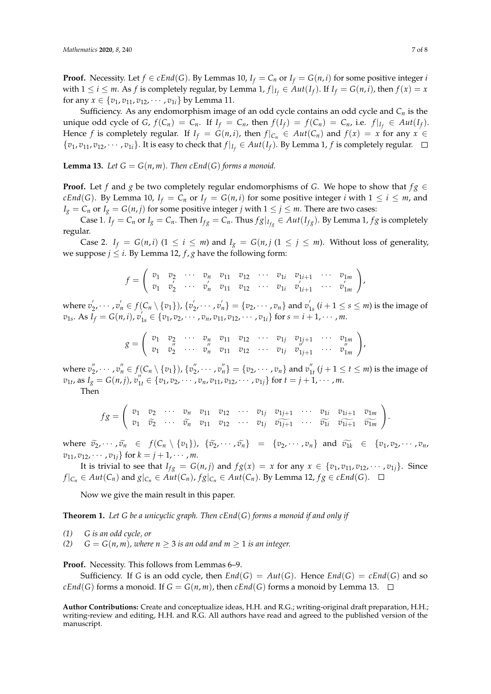**Proof.** Necessity. Let  $f \in cEnd(G)$ . By Lemmas 10,  $I_f = C_n$  or  $I_f = G(n, i)$  for some positive integer *i* with  $1 \leq i \leq m$ . As  $f$  is completely regular, by Lemma 1,  $f|_{I_f} \in Aut(I_f)$ . If  $I_f = G(n, i)$ , then  $f(x) = x$ for any  $x \in \{v_1, v_{11}, v_{12}, \cdots, v_{1i}\}$  by Lemma 11.

Sufficiency. As any endomorphism image of an odd cycle contains an odd cycle and *C<sup>n</sup>* is the unique odd cycle of *G*,  $f(C_n) = C_n$ . If  $I_f = C_n$ , then  $f(I_f) = f(C_n) = C_n$ , i.e.  $f|_{I_f} \in Aut(I_f)$ . Hence *f* is completely regular. If  $I_f = G(n, i)$ , then  $f|_{C_n} \in Aut(C_n)$  and  $f(x) = x$  for any  $x \in$  $\{v_1, v_{11}, v_{12}, \cdots, v_{1i}\}$ . It is easy to check that  $f|_{I_f} \in Aut(I_f)$ . By Lemma 1,  $f$  is completely regular.

**Lemma 13.** Let  $G = G(n, m)$ . Then cEnd(G) forms a monoid.

**Proof.** Let *f* and *g* be two completely regular endomorphisms of *G*. We hope to show that  $fg \in$ *cEnd*(*G*). By Lemma 10,  $I_f = C_n$  or  $I_f = G(n, i)$  for some positive integer *i* with  $1 \le i \le m$ , and *I*<sub>*g*</sub> = *C*<sub>*n*</sub> or *I*<sub>*g*</sub> = *G*(*n*, *j*) for some positive integer *j* with  $1 \le j \le m$ . There are two cases:

Case 1.  $I_f = C_n$  or  $I_g = C_n$ . Then  $I_{fg} = C_n$ . Thus  $fg|_{I_{fg}} \in Aut(I_{fg})$ . By Lemma 1, f g is completely regular.

Case 2. *I<sub>f</sub>* = *G*(*n*, *i*) (1  $\le i \le m$ ) and *I<sub>g</sub>* = *G*(*n*, *j* (1  $\le j \le m$ ). Without loss of generality, we suppose  $j \leq i$ . By Lemma 12,  $f$ ,  $g$  have the following form:

$$
f = \left(\begin{array}{ccccccccc} v_1 & v_2 & \cdots & v_n & v_{11} & v_{12} & \cdots & v_{1i} & v_{1i+1} & \cdots & v_{1m} \\ v_1 & v_2' & \cdots & v_n' & v_{11} & v_{12} & \cdots & v_{1i} & v_{1i+1}' & \cdots & v_{1m}' \end{array}\right),
$$

where  $v_2', \dots, v_n' \in f(C_n \setminus \{v_1\})$ ,  $\{v_2', \dots, v_n'\} = \{v_2, \dots, v_n\}$  and  $v_1', (i+1 \le s \le m)$  is the image of  $v_{1s}$ . As  $I_f = G(n,i)$ ,  $v'_{1s} \in \{v_1, v_2, \cdots, v_n, v_{11}, v_{12}, \cdots, v_{1i}\}$  for  $s = i + 1, \cdots, m$ .

$$
g = \begin{pmatrix} v_1 & v_2 & \cdots & v_n & v_{11} & v_{12} & \cdots & v_{1j} & v_{1j+1} & \cdots & v_{1m} \\ v_1 & v_2^{\prime} & \cdots & v_n^{\prime\prime} & v_{11} & v_{12} & \cdots & v_{1j} & v_{1j+1}^{\prime\prime} & \cdots & v_{1m}^{\prime\prime} \end{pmatrix},
$$

where  $v''_2, \dots, v''_n \in f(C_n \setminus \{v_1\}), \{v''_2, \dots, v''_n\} = \{v_2, \dots, v_n\}$  and  $v''_{1t}$   $(j + 1 \le t \le m)$  is the image of  $v_{1t}$ , as  $I_g = G(n,j)$ ,  $v''_{1t} \in \{v_1, v_2, \cdots, v_n, v_{11}, v_{12}, \cdots, v_{1j}\}$  for  $t = j + 1, \cdots, m$ . Then

$$
fg=\left(\begin{array}{ccccccccccccc}v_1&v_2&\cdots&v_n&v_{11}&v_{12}&\cdots&v_{1j}&v_{1j+1}&\cdots&v_{1i}&v_{1i+1}&v_{1m}\\v_1&\widetilde{v_2}&\cdots&\widetilde{v_n}&v_{11}&v_{12}&\cdots&v_{1j}&\widetilde{v_{1j+1}}&\cdots&\widetilde{v_{1i}}&\widetilde{v_{1i+1}}&\widetilde{v_{1m}}\end{array}\right).
$$

where  $\tilde{v}_2, \dots, \tilde{v}_n \in f(C_n \setminus \{v_1\}), \{\tilde{v}_2, \dots, \tilde{v}_n\} = \{v_2, \dots, v_n\}$  and  $\tilde{v}_{1k} \in \{v_1, v_2, \dots, v_n\}$  $v_{11}, v_{12}, \cdots, v_{1i}$  for  $k = j + 1, \cdots, m$ .

It is trivial to see that  $I_{fg} = G(n,j)$  and  $fg(x) = x$  for any  $x \in \{v_1, v_{11}, v_{12}, \dots, v_{1j}\}$ . Since  $f|_{C_n} \in Aut(C_n)$  and  $g|_{C_n} \in Aut(C_n)$ ,  $fg|_{C_n} \in Aut(C_n)$ . By Lemma 12,  $fg \in cEnd(G)$ .  $\Box$ 

Now we give the main result in this paper.

**Theorem 1.** *Let G be a unicyclic graph. Then cEnd*(*G*) *forms a monoid if and only if*

- *(1) G is an odd cycle, or*
- *(2)*  $G = G(n, m)$ , where  $n \geq 3$  *is an odd and*  $m \geq 1$  *is an integer.*

Proof. Necessity. This follows from Lemmas 6–9.

Sufficiency. If *G* is an odd cycle, then  $End(G) = Aut(G)$ . Hence  $End(G) = cEnd(G)$  and so  $cEnd(G)$  forms a monoid. If  $G = G(n,m)$ , then  $cEnd(G)$  forms a monoid by Lemma 13.  $\square$ 

**Author Contributions:** Create and conceptualize ideas, H.H. and R.G.; writing-original draft preparation, H.H.; writing-review and editing, H.H. and R.G. All authors have read and agreed to the published version of the manuscript.